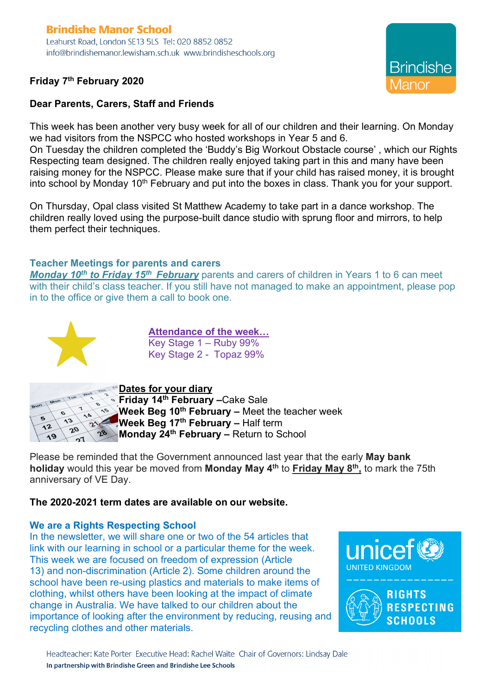# **Brindishe Manor School**

Leahurst Road, London SE13 5LS Tel: 020 8852 0852 info@brindishemanor.lewisham.sch.uk www.brindisheschools.org

## **Friday 7th February 2020**



### **Dear Parents, Carers, Staff and Friends**

This week has been another very busy week for all of our children and their learning. On Monday we had visitors from the NSPCC who hosted workshops in Year 5 and 6.

On Tuesday the children completed the 'Buddy's Big Workout Obstacle course' , which our Rights Respecting team designed. The children really enjoyed taking part in this and many have been raising money for the NSPCC. Please make sure that if your child has raised money, it is brought into school by Monday  $10<sup>th</sup>$  February and put into the boxes in class. Thank you for your support.

On Thursday, Opal class visited St Matthew Academy to take part in a dance workshop. The children really loved using the purpose-built dance studio with sprung floor and mirrors, to help them perfect their techniques.

#### **Teacher Meetings for parents and carers**

*Monday* 10<sup>th</sup> to Friday 15<sup>th</sup> February parents and carers of children in Years 1 to 6 can meet with their child's class teacher. If you still have not managed to make an appointment, please pop in to the office or give them a call to book one.



**Attendance of the week…** Key Stage 1 – Ruby 99% Key Stage 2 - Topaz 99%



**Dates for your diary**

**Friday 14th February –**Cake Sale **Week Beg 10th February –** Meet the teacher week **Week Beg 17th February –** Half term **Monday 24th February –** Return to School

Please be reminded that the Government announced last year that the early **May bank holiday** would this year be moved from **Monday May 4th** to **Friday May 8th,** to mark the 75th anniversary of VE Day.

#### **The 2020-2021 term dates are available on our website.**

#### **We are a Rights Respecting School**

In the newsletter, we will share one or two of the 54 articles that link with our learning in school or a particular theme for the week. This week we are focused on freedom of expression (Article 13) and non-discrimination (Article 2). Some children around the school have been re-using plastics and materials to make items of clothing, whilst others have been looking at the impact of climate change in Australia. We have talked to our children about the importance of looking after the environment by reducing, reusing and recycling clothes and other materials.

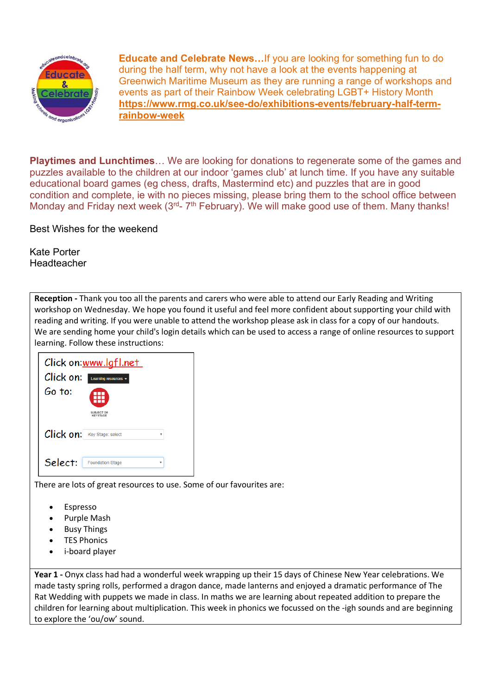

**Educate and Celebrate News…**If you are looking for something fun to do during the half term, why not have a look at the events happening at Greenwich Maritime Museum as they are running a range of workshops and events as part of their Rainbow Week celebrating LGBT+ History Month **https://www.rmg.co.uk/see-do/exhibitions-events/february-half-termrainbow-week**

**Playtimes and Lunchtimes**… We are looking for donations to regenerate some of the games and puzzles available to the children at our indoor 'games club' at lunch time. If you have any suitable educational board games (eg chess, drafts, Mastermind etc) and puzzles that are in good condition and complete, ie with no pieces missing, please bring them to the school office between Monday and Friday next week  $(3<sup>rd</sup>- 7<sup>th</sup>$  February). We will make good use of them. Many thanks!

Best Wishes for the weekend

Kate Porter **Headteacher** 

**Reception -** Thank you too all the parents and carers who were able to attend our Early Reading and Writing workshop on Wednesday. We hope you found it useful and feel more confident about supporting your child with reading and writing. If you were unable to attend the workshop please ask in class for a copy of our handouts. We are sending home your child's login details which can be used to access a range of online resources to support learning. Follow these instructions:

| Click on:www.lgfl.net<br>Click on:<br>Learning resources -<br>Go to:<br>SUBJECT OR<br><b>KEYSTAGE</b> |  |
|-------------------------------------------------------------------------------------------------------|--|
| Click on:<br>Key Stage: select                                                                        |  |
| Select:<br><b>Foundation Stage</b>                                                                    |  |

There are lots of great resources to use. Some of our favourites are:

- **Espresso**
- Purple Mash
- **Busy Things**
- **TES Phonics**
- i-board player

**Year 1 -** Onyx class had had a wonderful week wrapping up their 15 days of Chinese New Year celebrations. We made tasty spring rolls, performed a dragon dance, made lanterns and enjoyed a dramatic performance of The Rat Wedding with puppets we made in class. In maths we are learning about repeated addition to prepare the children for learning about multiplication. This week in phonics we focussed on the -igh sounds and are beginning to explore the 'ou/ow' sound.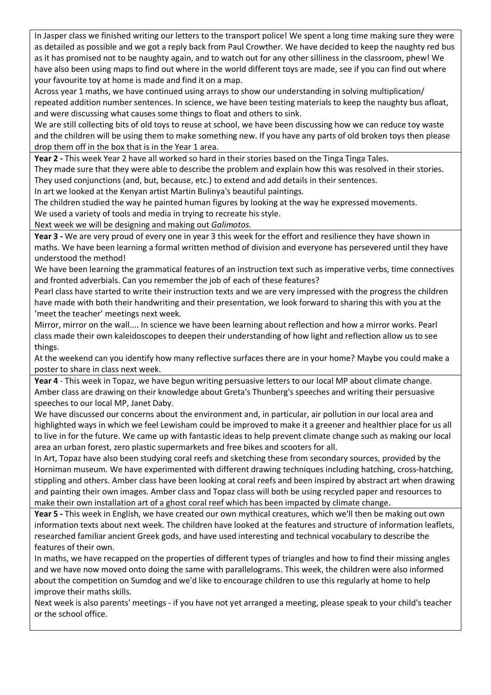In Jasper class we finished writing our letters to the transport police! We spent a long time making sure they were as detailed as possible and we got a reply back from Paul Crowther. We have decided to keep the naughty red bus as it has promised not to be naughty again, and to watch out for any other silliness in the classroom, phew! We have also been using maps to find out where in the world different toys are made, see if you can find out where your favourite toy at home is made and find it on a map.

Across year 1 maths, we have continued using arrays to show our understanding in solving multiplication/ repeated addition number sentences. In science, we have been testing materials to keep the naughty bus afloat, and were discussing what causes some things to float and others to sink.

We are still collecting bits of old toys to reuse at school, we have been discussing how we can reduce toy waste and the children will be using them to make something new. If you have any parts of old broken toys then please drop them off in the box that is in the Year 1 area.

**Year 2 -** This week Year 2 have all worked so hard in their stories based on the Tinga Tinga Tales.

They made sure that they were able to describe the problem and explain how this was resolved in their stories. They used conjunctions (and, but, because, etc.) to extend and add details in their sentences.

In art we looked at the Kenyan artist Martin Bulinya's beautiful paintings.

The children studied the way he painted human figures by looking at the way he expressed movements. We used a variety of tools and media in trying to recreate his style.

Next week we will be designing and making out *Galimotos.*

**Year 3 -** We are very proud of every one in year 3 this week for the effort and resilience they have shown in maths. We have been learning a formal written method of division and everyone has persevered until they have understood the method!

We have been learning the grammatical features of an instruction text such as imperative verbs, time connectives and fronted adverbials. Can you remember the job of each of these features?

Pearl class have started to write their instruction texts and we are very impressed with the progress the children have made with both their handwriting and their presentation, we look forward to sharing this with you at the 'meet the teacher' meetings next week.

Mirror, mirror on the wall.... In science we have been learning about reflection and how a mirror works. Pearl class made their own kaleidoscopes to deepen their understanding of how light and reflection allow us to see things.

At the weekend can you identify how many reflective surfaces there are in your home? Maybe you could make a poster to share in class next week.

**Year 4** - This week in Topaz, we have begun writing persuasive letters to our local MP about climate change. Amber class are drawing on their knowledge about Greta's Thunberg's speeches and writing their persuasive speeches to our local MP, Janet Daby.

We have discussed our concerns about the environment and, in particular, air pollution in our local area and highlighted ways in which we feel Lewisham could be improved to make it a greener and healthier place for us all to live in for the future. We came up with fantastic ideas to help prevent climate change such as making our local area an urban forest, zero plastic supermarkets and free bikes and scooters for all.

In Art, Topaz have also been studying coral reefs and sketching these from secondary sources, provided by the Horniman museum. We have experimented with different drawing techniques including hatching, cross-hatching, stippling and others. Amber class have been looking at coral reefs and been inspired by abstract art when drawing and painting their own images. Amber class and Topaz class will both be using recycled paper and resources to make their own installation art of a ghost coral reef which has been impacted by climate change.

**Year 5 -** This week in English, we have created our own mythical creatures, which we'll then be making out own information texts about next week. The children have looked at the features and structure of information leaflets, researched familiar ancient Greek gods, and have used interesting and technical vocabulary to describe the features of their own.

In maths, we have recapped on the properties of different types of triangles and how to find their missing angles and we have now moved onto doing the same with parallelograms. This week, the children were also informed about the competition on Sumdog and we'd like to encourage children to use this regularly at home to help improve their maths skills.

Next week is also parents' meetings - if you have not yet arranged a meeting, please speak to your child's teacher or the school office.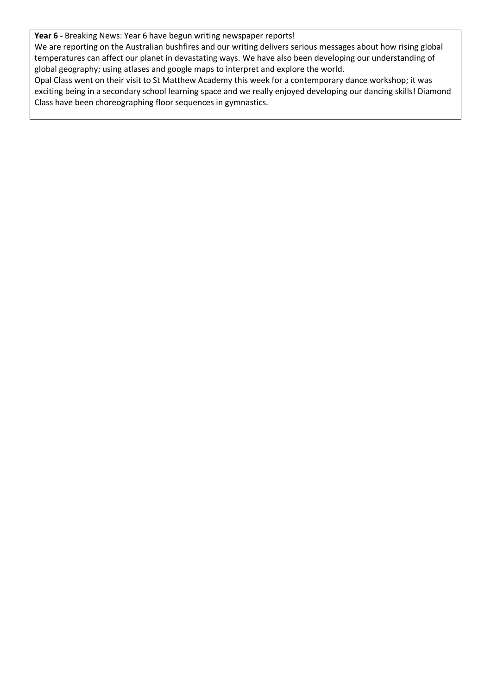**Year 6 -** Breaking News: Year 6 have begun writing newspaper reports!

We are reporting on the Australian bushfires and our writing delivers serious messages about how rising global temperatures can affect our planet in devastating ways. We have also been developing our understanding of global geography; using atlases and google maps to interpret and explore the world.

Opal Class went on their visit to St Matthew Academy this week for a contemporary dance workshop; it was exciting being in a secondary school learning space and we really enjoyed developing our dancing skills! Diamond Class have been choreographing floor sequences in gymnastics.